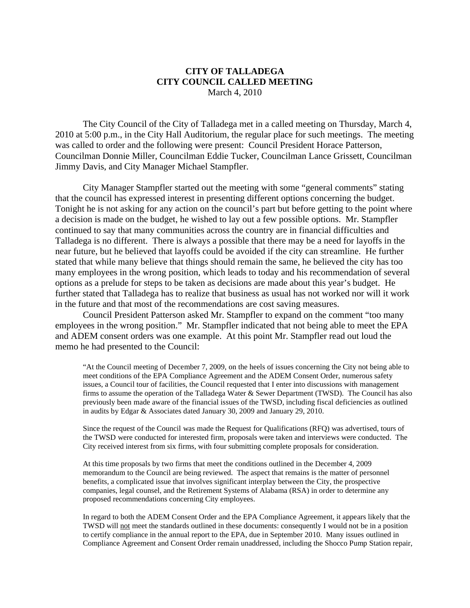## **CITY OF TALLADEGA CITY COUNCIL CALLED MEETING** March 4, 2010

The City Council of the City of Talladega met in a called meeting on Thursday, March 4, 2010 at 5:00 p.m., in the City Hall Auditorium, the regular place for such meetings. The meeting was called to order and the following were present: Council President Horace Patterson, Councilman Donnie Miller, Councilman Eddie Tucker, Councilman Lance Grissett, Councilman Jimmy Davis, and City Manager Michael Stampfler.

City Manager Stampfler started out the meeting with some "general comments" stating that the council has expressed interest in presenting different options concerning the budget. Tonight he is not asking for any action on the council's part but before getting to the point where a decision is made on the budget, he wished to lay out a few possible options. Mr. Stampfler continued to say that many communities across the country are in financial difficulties and Talladega is no different. There is always a possible that there may be a need for layoffs in the near future, but he believed that layoffs could be avoided if the city can streamline. He further stated that while many believe that things should remain the same, he believed the city has too many employees in the wrong position, which leads to today and his recommendation of several options as a prelude for steps to be taken as decisions are made about this year's budget. He further stated that Talladega has to realize that business as usual has not worked nor will it work in the future and that most of the recommendations are cost saving measures.

Council President Patterson asked Mr. Stampfler to expand on the comment "too many employees in the wrong position." Mr. Stampfler indicated that not being able to meet the EPA and ADEM consent orders was one example. At this point Mr. Stampfler read out loud the memo he had presented to the Council:

"At the Council meeting of December 7, 2009, on the heels of issues concerning the City not being able to meet conditions of the EPA Compliance Agreement and the ADEM Consent Order, numerous safety issues, a Council tour of facilities, the Council requested that I enter into discussions with management firms to assume the operation of the Talladega Water & Sewer Department (TWSD). The Council has also previously been made aware of the financial issues of the TWSD, including fiscal deficiencies as outlined in audits by Edgar & Associates dated January 30, 2009 and January 29, 2010.

Since the request of the Council was made the Request for Qualifications (RFQ) was advertised, tours of the TWSD were conducted for interested firm, proposals were taken and interviews were conducted. The City received interest from six firms, with four submitting complete proposals for consideration.

At this time proposals by two firms that meet the conditions outlined in the December 4, 2009 memorandum to the Council are being reviewed. The aspect that remains is the matter of personnel benefits, a complicated issue that involves significant interplay between the City, the prospective companies, legal counsel, and the Retirement Systems of Alabama (RSA) in order to determine any proposed recommendations concerning City employees.

In regard to both the ADEM Consent Order and the EPA Compliance Agreement, it appears likely that the TWSD will not meet the standards outlined in these documents: consequently I would not be in a position to certify compliance in the annual report to the EPA, due in September 2010. Many issues outlined in Compliance Agreement and Consent Order remain unaddressed, including the Shocco Pump Station repair,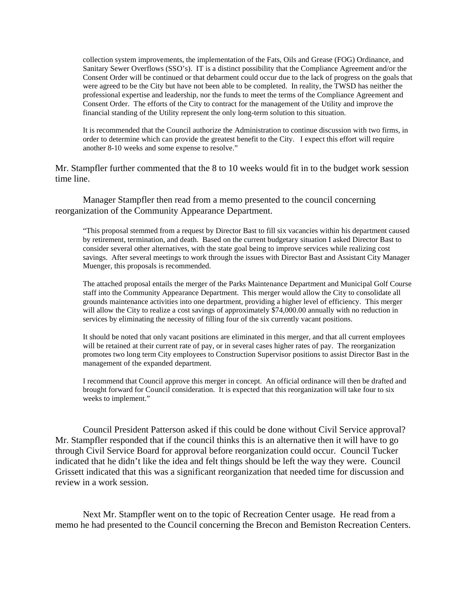collection system improvements, the implementation of the Fats, Oils and Grease (FOG) Ordinance, and Sanitary Sewer Overflows (SSO's). IT is a distinct possibility that the Compliance Agreement and/or the Consent Order will be continued or that debarment could occur due to the lack of progress on the goals that were agreed to be the City but have not been able to be completed. In reality, the TWSD has neither the professional expertise and leadership, nor the funds to meet the terms of the Compliance Agreement and Consent Order. The efforts of the City to contract for the management of the Utility and improve the financial standing of the Utility represent the only long-term solution to this situation.

It is recommended that the Council authorize the Administration to continue discussion with two firms, in order to determine which can provide the greatest benefit to the City. I expect this effort will require another 8-10 weeks and some expense to resolve."

Mr. Stampfler further commented that the 8 to 10 weeks would fit in to the budget work session time line.

Manager Stampfler then read from a memo presented to the council concerning reorganization of the Community Appearance Department.

"This proposal stemmed from a request by Director Bast to fill six vacancies within his department caused by retirement, termination, and death. Based on the current budgetary situation I asked Director Bast to consider several other alternatives, with the state goal being to improve services while realizing cost savings. After several meetings to work through the issues with Director Bast and Assistant City Manager Muenger, this proposals is recommended.

The attached proposal entails the merger of the Parks Maintenance Department and Municipal Golf Course staff into the Community Appearance Department. This merger would allow the City to consolidate all grounds maintenance activities into one department, providing a higher level of efficiency. This merger will allow the City to realize a cost savings of approximately \$74,000.00 annually with no reduction in services by eliminating the necessity of filling four of the six currently vacant positions.

It should be noted that only vacant positions are eliminated in this merger, and that all current employees will be retained at their current rate of pay, or in several cases higher rates of pay. The reorganization promotes two long term City employees to Construction Supervisor positions to assist Director Bast in the management of the expanded department.

I recommend that Council approve this merger in concept. An official ordinance will then be drafted and brought forward for Council consideration. It is expected that this reorganization will take four to six weeks to implement."

Council President Patterson asked if this could be done without Civil Service approval? Mr. Stampfler responded that if the council thinks this is an alternative then it will have to go through Civil Service Board for approval before reorganization could occur. Council Tucker indicated that he didn't like the idea and felt things should be left the way they were. Council Grissett indicated that this was a significant reorganization that needed time for discussion and review in a work session.

Next Mr. Stampfler went on to the topic of Recreation Center usage. He read from a memo he had presented to the Council concerning the Brecon and Bemiston Recreation Centers.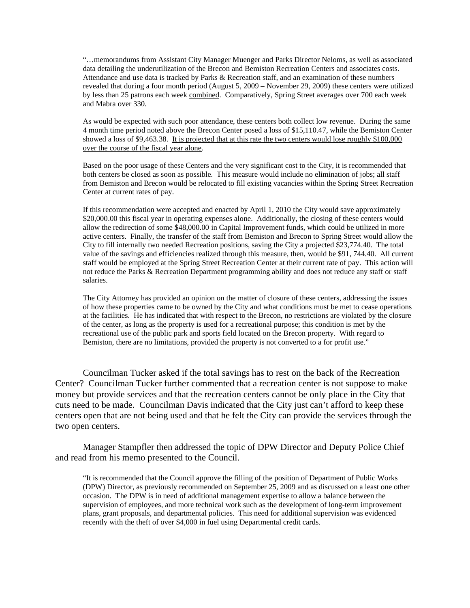"…memorandums from Assistant City Manager Muenger and Parks Director Neloms, as well as associated data detailing the underutilization of the Brecon and Bemiston Recreation Centers and associates costs. Attendance and use data is tracked by Parks & Recreation staff, and an examination of these numbers revealed that during a four month period (August 5, 2009 – November 29, 2009) these centers were utilized by less than 25 patrons each week combined. Comparatively, Spring Street averages over 700 each week and Mabra over 330.

As would be expected with such poor attendance, these centers both collect low revenue. During the same 4 month time period noted above the Brecon Center posed a loss of \$15,110.47, while the Bemiston Center showed a loss of \$9,463.38. It is projected that at this rate the two centers would lose roughly \$100,000 over the course of the fiscal year alone.

Based on the poor usage of these Centers and the very significant cost to the City, it is recommended that both centers be closed as soon as possible. This measure would include no elimination of jobs; all staff from Bemiston and Brecon would be relocated to fill existing vacancies within the Spring Street Recreation Center at current rates of pay.

If this recommendation were accepted and enacted by April 1, 2010 the City would save approximately \$20,000.00 this fiscal year in operating expenses alone. Additionally, the closing of these centers would allow the redirection of some \$48,000.00 in Capital Improvement funds, which could be utilized in more active centers. Finally, the transfer of the staff from Bemiston and Brecon to Spring Street would allow the City to fill internally two needed Recreation positions, saving the City a projected \$23,774.40. The total value of the savings and efficiencies realized through this measure, then, would be \$91, 744.40. All current staff would be employed at the Spring Street Recreation Center at their current rate of pay. This action will not reduce the Parks & Recreation Department programming ability and does not reduce any staff or staff salaries.

The City Attorney has provided an opinion on the matter of closure of these centers, addressing the issues of how these properties came to be owned by the City and what conditions must be met to cease operations at the facilities. He has indicated that with respect to the Brecon, no restrictions are violated by the closure of the center, as long as the property is used for a recreational purpose; this condition is met by the recreational use of the public park and sports field located on the Brecon property. With regard to Bemiston, there are no limitations, provided the property is not converted to a for profit use."

Councilman Tucker asked if the total savings has to rest on the back of the Recreation Center? Councilman Tucker further commented that a recreation center is not suppose to make money but provide services and that the recreation centers cannot be only place in the City that cuts need to be made. Councilman Davis indicated that the City just can't afford to keep these centers open that are not being used and that he felt the City can provide the services through the two open centers.

Manager Stampfler then addressed the topic of DPW Director and Deputy Police Chief and read from his memo presented to the Council.

"It is recommended that the Council approve the filling of the position of Department of Public Works (DPW) Director, as previously recommended on September 25, 2009 and as discussed on a least one other occasion. The DPW is in need of additional management expertise to allow a balance between the supervision of employees, and more technical work such as the development of long-term improvement plans, grant proposals, and departmental policies. This need for additional supervision was evidenced recently with the theft of over \$4,000 in fuel using Departmental credit cards.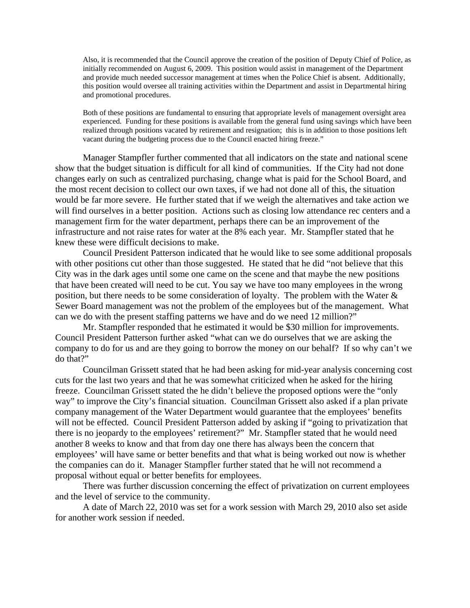Also, it is recommended that the Council approve the creation of the position of Deputy Chief of Police, as initially recommended on August 6, 2009. This position would assist in management of the Department and provide much needed successor management at times when the Police Chief is absent. Additionally, this position would oversee all training activities within the Department and assist in Departmental hiring and promotional procedures.

Both of these positions are fundamental to ensuring that appropriate levels of management oversight area experienced. Funding for these positions is available from the general fund using savings which have been realized through positions vacated by retirement and resignation; this is in addition to those positions left vacant during the budgeting process due to the Council enacted hiring freeze."

Manager Stampfler further commented that all indicators on the state and national scene show that the budget situation is difficult for all kind of communities. If the City had not done changes early on such as centralized purchasing, change what is paid for the School Board, and the most recent decision to collect our own taxes, if we had not done all of this, the situation would be far more severe. He further stated that if we weigh the alternatives and take action we will find ourselves in a better position. Actions such as closing low attendance rec centers and a management firm for the water department, perhaps there can be an improvement of the infrastructure and not raise rates for water at the 8% each year. Mr. Stampfler stated that he knew these were difficult decisions to make.

Council President Patterson indicated that he would like to see some additional proposals with other positions cut other than those suggested. He stated that he did "not believe that this City was in the dark ages until some one came on the scene and that maybe the new positions that have been created will need to be cut. You say we have too many employees in the wrong position, but there needs to be some consideration of loyalty. The problem with the Water & Sewer Board management was not the problem of the employees but of the management. What can we do with the present staffing patterns we have and do we need 12 million?"

Mr. Stampfler responded that he estimated it would be \$30 million for improvements. Council President Patterson further asked "what can we do ourselves that we are asking the company to do for us and are they going to borrow the money on our behalf? If so why can't we do that?"

Councilman Grissett stated that he had been asking for mid-year analysis concerning cost cuts for the last two years and that he was somewhat criticized when he asked for the hiring freeze. Councilman Grissett stated the he didn't believe the proposed options were the "only way" to improve the City's financial situation. Councilman Grissett also asked if a plan private company management of the Water Department would guarantee that the employees' benefits will not be effected. Council President Patterson added by asking if "going to privatization that there is no jeopardy to the employees' retirement?" Mr. Stampfler stated that he would need another 8 weeks to know and that from day one there has always been the concern that employees' will have same or better benefits and that what is being worked out now is whether the companies can do it. Manager Stampfler further stated that he will not recommend a proposal without equal or better benefits for employees.

There was further discussion concerning the effect of privatization on current employees and the level of service to the community.

A date of March 22, 2010 was set for a work session with March 29, 2010 also set aside for another work session if needed.